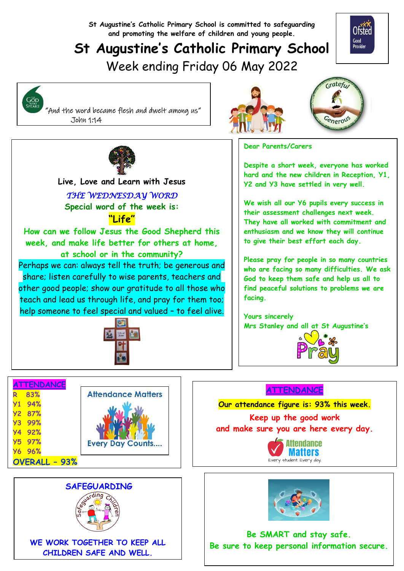**St Augustine's Catholic Primary School is committed to safeguarding and promoting the welfare of children and young people.**

# **St Augustine's Catholic Primary School** Week ending Friday 06 May 2022



 $\mathsf{G}_{\mathsf{WHC}}^{\mathsf{THE}}$ 

 "And the word became flesh and dwelt among us" John 1:14





**Dear Parents/Carers**

**Despite a short week, everyone has worked hard and the new children in Reception, Y1, Y2 and Y3 have settled in very well.**

**We wish all our Y6 pupils every success in their assessment challenges next week. They have all worked with commitment and enthusiasm and we know they will continue to give their best effort each day.**

**Please pray for people in so many countries who are facing so many difficulties. We ask God to keep them safe and help us all to find peaceful solutions to problems we are facing.**

**Yours sincerely Mrs Stanley and all at St Augustine's**



#### **ATTENDANCE**

**Our attendance figure is: 93% this week.**

**Keep up the good work and make sure you are here every day.**





**Be SMART and stay safe. Be sure to keep personal information secure.**



  **Live, Love and Learn with Jesus** *THE WEDNESDAY WORD*  **Special word of the week is: "Life" How can we follow Jesus the Good Shepherd this week, and make life better for others at home, at school or in the community?** Perhaps we can: always tell the truth; be generous and share; listen carefully to wise parents, teachers and other good people; show our gratitude to all those who teach and lead us through life, and pray for them too;

help someone to feel special and valued – to feel alive.



|               | ATTENDANCE    |                           |  |  |  |
|---------------|---------------|---------------------------|--|--|--|
|               | 83%           | <b>Attendance Matters</b> |  |  |  |
|               | <b>Y1 94%</b> |                           |  |  |  |
|               | <b>Y2 87%</b> |                           |  |  |  |
| <b>Y3</b>     | 99%           |                           |  |  |  |
| <b>Y4</b>     | 92%           |                           |  |  |  |
|               | <b>Y5 97%</b> | <b>Every Day Counts</b>   |  |  |  |
|               | <b>Y6 96%</b> |                           |  |  |  |
| OVERALL - 93% |               |                           |  |  |  |



**WE WORK TOGETHER TO KEEP ALL CHILDREN SAFE AND WELL.**